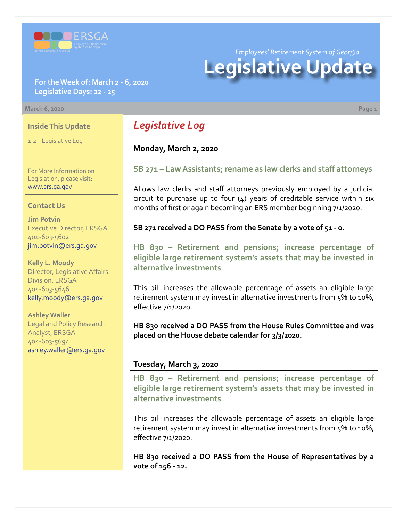

**For the Week of: March 2 - 6, 2020 Legislative Days: 22 - 25**

#### **March 6, 2020 Page 1**

#### **Inside This Update**

1-2 Legislative Log

For More Information on Legislation, please visit: [www.ers.ga.gov](http://www.ers.ga.gov/default.aspx)

#### **Contact Us**

**Jim Potvin** Executive Director, ERSGA 404-603-5602 jim.potvin@ers.ga.gov

**Kelly L. Moody** Director, Legislative Affairs Division, ERSGA 404-603-5646 kelly.moody@ers.ga.gov

**Ashley Waller** Legal and Policy Research Analyst, ERSGA 404-603-5694 ashley.waller@ers.ga.gov

## *Legislative Log*

## **Monday, March 2, 2020**

### **[SB](http://www.legis.ga.gov/legislation/en-US/Display/20192020/SB/271) 271 [– Law Assistants; rename as law clerks and staff attorneys](http://www.legis.ga.gov/legislation/en-US/Display/20192020/SB/271)**

Allows law clerks and staff attorneys previously employed by a judicial circuit to purchase up to four  $(4)$  years of creditable service within six months of first or again becoming an ERS member beginning 7/1/2020.

**SB 271 received a DO PASS from the Senate by a vote of 51 - 0.**

**HB 830 – Retirement and pensions; increase percentage of [eligible large retirement system's assets that may be invested in](http://www.legis.ga.gov/legislation/en-US/Display/20192020/HB/830)  alternative investments**

This bill increases the allowable percentage of assets an eligible large retirement system may invest in alternative investments from 5% to 10%, effective 7/1/2020.

**HB 830 received a DO PASS from the House Rules Committee and was placed on the House debate calendar for 3/3/2020.**

#### **Tuesday, March 3, 2020**

**HB 830 – Retirement and pensions; increase percentage of [eligible large retirement system's assets that may be invested in](http://www.legis.ga.gov/legislation/en-US/Display/20192020/HB/830)  alternative investments**

This bill increases the allowable percentage of assets an eligible large retirement system may invest in alternative investments from 5% to 10%, effective 7/1/2020.

**HB 830 received a DO PASS from the House of Representatives by a vote of 156 - 12.**

*Employees' Retirement System of Georgia*

# **Legislative Update**